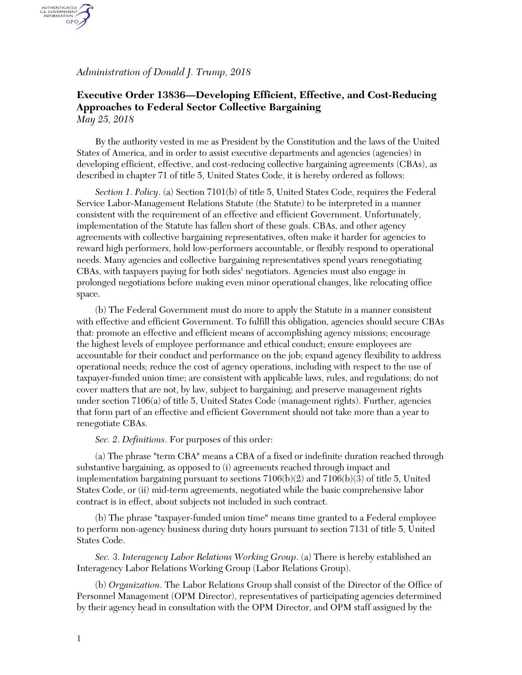*Administration of Donald J. Trump, 2018*

AUTHENTICATED<br>U.S. GOVERNMENT<br>INFORMATION GPO.

## **Executive Order 13836—Developing Efficient, Effective, and Cost-Reducing Approaches to Federal Sector Collective Bargaining** *May 25, 2018*

By the authority vested in me as President by the Constitution and the laws of the United States of America, and in order to assist executive departments and agencies (agencies) in developing efficient, effective, and cost-reducing collective bargaining agreements (CBAs), as described in chapter 71 of title 5, United States Code, it is hereby ordered as follows:

*Section 1*. *Policy*. (a) Section 7101(b) of title 5, United States Code, requires the Federal Service Labor-Management Relations Statute (the Statute) to be interpreted in a manner consistent with the requirement of an effective and efficient Government. Unfortunately, implementation of the Statute has fallen short of these goals. CBAs, and other agency agreements with collective bargaining representatives, often make it harder for agencies to reward high performers, hold low-performers accountable, or flexibly respond to operational needs. Many agencies and collective bargaining representatives spend years renegotiating CBAs, with taxpayers paying for both sides' negotiators. Agencies must also engage in prolonged negotiations before making even minor operational changes, like relocating office space.

(b) The Federal Government must do more to apply the Statute in a manner consistent with effective and efficient Government. To fulfill this obligation, agencies should secure CBAs that: promote an effective and efficient means of accomplishing agency missions; encourage the highest levels of employee performance and ethical conduct; ensure employees are accountable for their conduct and performance on the job; expand agency flexibility to address operational needs; reduce the cost of agency operations, including with respect to the use of taxpayer-funded union time; are consistent with applicable laws, rules, and regulations; do not cover matters that are not, by law, subject to bargaining; and preserve management rights under section 7106(a) of title 5, United States Code (management rights). Further, agencies that form part of an effective and efficient Government should not take more than a year to renegotiate CBAs.

*Sec. 2*. *Definitions*. For purposes of this order:

(a) The phrase "term CBA" means a CBA of a fixed or indefinite duration reached through substantive bargaining, as opposed to (i) agreements reached through impact and implementation bargaining pursuant to sections  $7106(b)(2)$  and  $7106(b)(3)$  of title 5, United States Code, or (ii) mid-term agreements, negotiated while the basic comprehensive labor contract is in effect, about subjects not included in such contract.

(b) The phrase "taxpayer-funded union time" means time granted to a Federal employee to perform non-agency business during duty hours pursuant to section 7131 of title 5, United States Code.

*Sec. 3*. *Interagency Labor Relations Working Group*. (a) There is hereby established an Interagency Labor Relations Working Group (Labor Relations Group).

(b) *Organization*. The Labor Relations Group shall consist of the Director of the Office of Personnel Management (OPM Director), representatives of participating agencies determined by their agency head in consultation with the OPM Director, and OPM staff assigned by the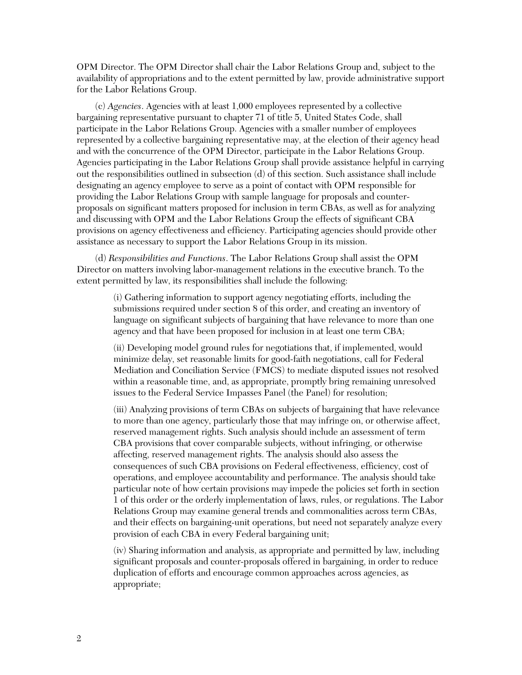OPM Director. The OPM Director shall chair the Labor Relations Group and, subject to the availability of appropriations and to the extent permitted by law, provide administrative support for the Labor Relations Group.

(c) *Agencies*. Agencies with at least 1,000 employees represented by a collective bargaining representative pursuant to chapter 71 of title 5, United States Code, shall participate in the Labor Relations Group. Agencies with a smaller number of employees represented by a collective bargaining representative may, at the election of their agency head and with the concurrence of the OPM Director, participate in the Labor Relations Group. Agencies participating in the Labor Relations Group shall provide assistance helpful in carrying out the responsibilities outlined in subsection (d) of this section. Such assistance shall include designating an agency employee to serve as a point of contact with OPM responsible for providing the Labor Relations Group with sample language for proposals and counterproposals on significant matters proposed for inclusion in term CBAs, as well as for analyzing and discussing with OPM and the Labor Relations Group the effects of significant CBA provisions on agency effectiveness and efficiency. Participating agencies should provide other assistance as necessary to support the Labor Relations Group in its mission.

(d) *Responsibilities and Functions*. The Labor Relations Group shall assist the OPM Director on matters involving labor-management relations in the executive branch. To the extent permitted by law, its responsibilities shall include the following:

> (i) Gathering information to support agency negotiating efforts, including the submissions required under section 8 of this order, and creating an inventory of language on significant subjects of bargaining that have relevance to more than one agency and that have been proposed for inclusion in at least one term CBA;

(ii) Developing model ground rules for negotiations that, if implemented, would minimize delay, set reasonable limits for good-faith negotiations, call for Federal Mediation and Conciliation Service (FMCS) to mediate disputed issues not resolved within a reasonable time, and, as appropriate, promptly bring remaining unresolved issues to the Federal Service Impasses Panel (the Panel) for resolution;

(iii) Analyzing provisions of term CBAs on subjects of bargaining that have relevance to more than one agency, particularly those that may infringe on, or otherwise affect, reserved management rights. Such analysis should include an assessment of term CBA provisions that cover comparable subjects, without infringing, or otherwise affecting, reserved management rights. The analysis should also assess the consequences of such CBA provisions on Federal effectiveness, efficiency, cost of operations, and employee accountability and performance. The analysis should take particular note of how certain provisions may impede the policies set forth in section 1 of this order or the orderly implementation of laws, rules, or regulations. The Labor Relations Group may examine general trends and commonalities across term CBAs, and their effects on bargaining-unit operations, but need not separately analyze every provision of each CBA in every Federal bargaining unit;

(iv) Sharing information and analysis, as appropriate and permitted by law, including significant proposals and counter-proposals offered in bargaining, in order to reduce duplication of efforts and encourage common approaches across agencies, as appropriate;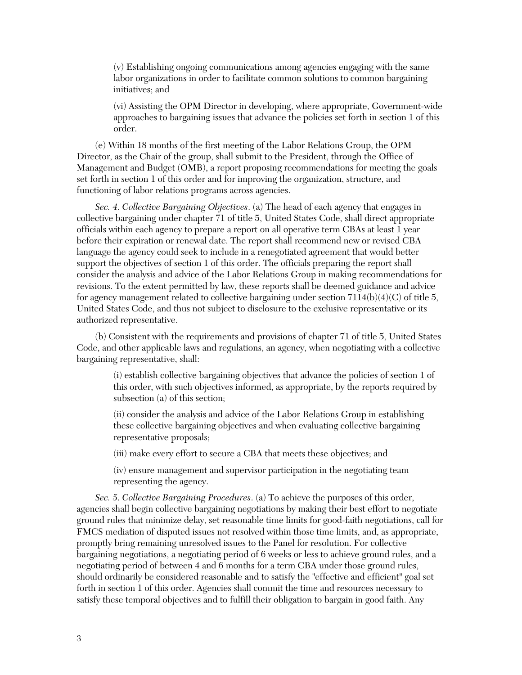(v) Establishing ongoing communications among agencies engaging with the same labor organizations in order to facilitate common solutions to common bargaining initiatives; and

(vi) Assisting the OPM Director in developing, where appropriate, Government-wide approaches to bargaining issues that advance the policies set forth in section 1 of this order.

(e) Within 18 months of the first meeting of the Labor Relations Group, the OPM Director, as the Chair of the group, shall submit to the President, through the Office of Management and Budget (OMB), a report proposing recommendations for meeting the goals set forth in section 1 of this order and for improving the organization, structure, and functioning of labor relations programs across agencies.

*Sec. 4*. *Collective Bargaining Objectives*. (a) The head of each agency that engages in collective bargaining under chapter 71 of title 5, United States Code, shall direct appropriate officials within each agency to prepare a report on all operative term CBAs at least 1 year before their expiration or renewal date. The report shall recommend new or revised CBA language the agency could seek to include in a renegotiated agreement that would better support the objectives of section 1 of this order. The officials preparing the report shall consider the analysis and advice of the Labor Relations Group in making recommendations for revisions. To the extent permitted by law, these reports shall be deemed guidance and advice for agency management related to collective bargaining under section  $7114(b)(4)(C)$  of title 5, United States Code, and thus not subject to disclosure to the exclusive representative or its authorized representative.

(b) Consistent with the requirements and provisions of chapter 71 of title 5, United States Code, and other applicable laws and regulations, an agency, when negotiating with a collective bargaining representative, shall:

(i) establish collective bargaining objectives that advance the policies of section 1 of this order, with such objectives informed, as appropriate, by the reports required by subsection (a) of this section;

(ii) consider the analysis and advice of the Labor Relations Group in establishing these collective bargaining objectives and when evaluating collective bargaining representative proposals;

(iii) make every effort to secure a CBA that meets these objectives; and

(iv) ensure management and supervisor participation in the negotiating team representing the agency.

*Sec. 5*. *Collective Bargaining Procedures*. (a) To achieve the purposes of this order, agencies shall begin collective bargaining negotiations by making their best effort to negotiate ground rules that minimize delay, set reasonable time limits for good-faith negotiations, call for FMCS mediation of disputed issues not resolved within those time limits, and, as appropriate, promptly bring remaining unresolved issues to the Panel for resolution. For collective bargaining negotiations, a negotiating period of 6 weeks or less to achieve ground rules, and a negotiating period of between 4 and 6 months for a term CBA under those ground rules, should ordinarily be considered reasonable and to satisfy the "effective and efficient" goal set forth in section 1 of this order. Agencies shall commit the time and resources necessary to satisfy these temporal objectives and to fulfill their obligation to bargain in good faith. Any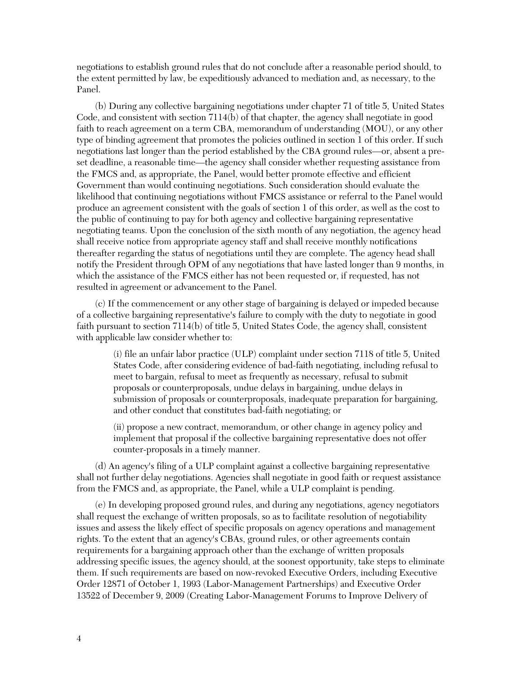negotiations to establish ground rules that do not conclude after a reasonable period should, to the extent permitted by law, be expeditiously advanced to mediation and, as necessary, to the Panel.

(b) During any collective bargaining negotiations under chapter 71 of title 5, United States Code, and consistent with section 7114(b) of that chapter, the agency shall negotiate in good faith to reach agreement on a term CBA, memorandum of understanding (MOU), or any other type of binding agreement that promotes the policies outlined in section 1 of this order. If such negotiations last longer than the period established by the CBA ground rules—or, absent a preset deadline, a reasonable time—the agency shall consider whether requesting assistance from the FMCS and, as appropriate, the Panel, would better promote effective and efficient Government than would continuing negotiations. Such consideration should evaluate the likelihood that continuing negotiations without FMCS assistance or referral to the Panel would produce an agreement consistent with the goals of section 1 of this order, as well as the cost to the public of continuing to pay for both agency and collective bargaining representative negotiating teams. Upon the conclusion of the sixth month of any negotiation, the agency head shall receive notice from appropriate agency staff and shall receive monthly notifications thereafter regarding the status of negotiations until they are complete. The agency head shall notify the President through OPM of any negotiations that have lasted longer than 9 months, in which the assistance of the FMCS either has not been requested or, if requested, has not resulted in agreement or advancement to the Panel.

(c) If the commencement or any other stage of bargaining is delayed or impeded because of a collective bargaining representative's failure to comply with the duty to negotiate in good faith pursuant to section 7114(b) of title 5, United States Code, the agency shall, consistent with applicable law consider whether to:

> (i) file an unfair labor practice (ULP) complaint under section 7118 of title 5, United States Code, after considering evidence of bad-faith negotiating, including refusal to meet to bargain, refusal to meet as frequently as necessary, refusal to submit proposals or counterproposals, undue delays in bargaining, undue delays in submission of proposals or counterproposals, inadequate preparation for bargaining, and other conduct that constitutes bad-faith negotiating; or

(ii) propose a new contract, memorandum, or other change in agency policy and implement that proposal if the collective bargaining representative does not offer counter-proposals in a timely manner.

(d) An agency's filing of a ULP complaint against a collective bargaining representative shall not further delay negotiations. Agencies shall negotiate in good faith or request assistance from the FMCS and, as appropriate, the Panel, while a ULP complaint is pending.

(e) In developing proposed ground rules, and during any negotiations, agency negotiators shall request the exchange of written proposals, so as to facilitate resolution of negotiability issues and assess the likely effect of specific proposals on agency operations and management rights. To the extent that an agency's CBAs, ground rules, or other agreements contain requirements for a bargaining approach other than the exchange of written proposals addressing specific issues, the agency should, at the soonest opportunity, take steps to eliminate them. If such requirements are based on now-revoked Executive Orders, including Executive Order 12871 of October 1, 1993 (Labor-Management Partnerships) and Executive Order 13522 of December 9, 2009 (Creating Labor-Management Forums to Improve Delivery of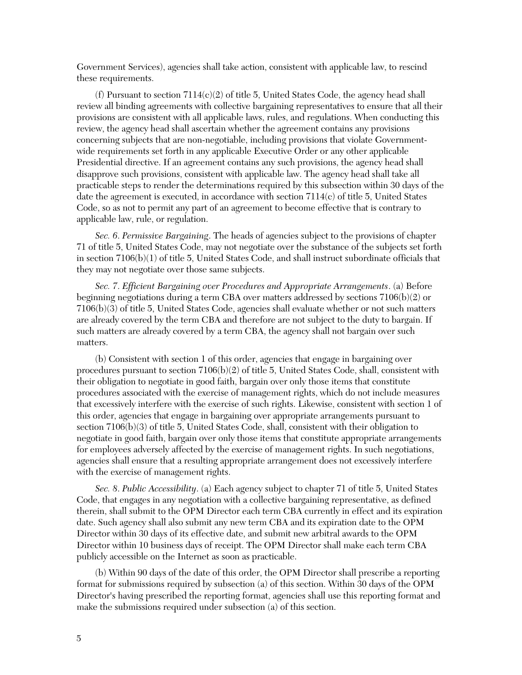Government Services), agencies shall take action, consistent with applicable law, to rescind these requirements.

(f) Pursuant to section  $7114(c)(2)$  of title 5, United States Code, the agency head shall review all binding agreements with collective bargaining representatives to ensure that all their provisions are consistent with all applicable laws, rules, and regulations. When conducting this review, the agency head shall ascertain whether the agreement contains any provisions concerning subjects that are non-negotiable, including provisions that violate Governmentwide requirements set forth in any applicable Executive Order or any other applicable Presidential directive. If an agreement contains any such provisions, the agency head shall disapprove such provisions, consistent with applicable law. The agency head shall take all practicable steps to render the determinations required by this subsection within 30 days of the date the agreement is executed, in accordance with section 7114(c) of title 5, United States Code, so as not to permit any part of an agreement to become effective that is contrary to applicable law, rule, or regulation.

*Sec. 6*. *Permissive Bargaining*. The heads of agencies subject to the provisions of chapter 71 of title 5, United States Code, may not negotiate over the substance of the subjects set forth in section 7106(b)(1) of title 5, United States Code, and shall instruct subordinate officials that they may not negotiate over those same subjects.

*Sec. 7*. *Efficient Bargaining over Procedures and Appropriate Arrangements*. (a) Before beginning negotiations during a term CBA over matters addressed by sections 7106(b)(2) or 7106(b)(3) of title 5, United States Code, agencies shall evaluate whether or not such matters are already covered by the term CBA and therefore are not subject to the duty to bargain. If such matters are already covered by a term CBA, the agency shall not bargain over such matters.

(b) Consistent with section 1 of this order, agencies that engage in bargaining over procedures pursuant to section 7106(b)(2) of title 5, United States Code, shall, consistent with their obligation to negotiate in good faith, bargain over only those items that constitute procedures associated with the exercise of management rights, which do not include measures that excessively interfere with the exercise of such rights. Likewise, consistent with section 1 of this order, agencies that engage in bargaining over appropriate arrangements pursuant to section 7106(b)(3) of title 5, United States Code, shall, consistent with their obligation to negotiate in good faith, bargain over only those items that constitute appropriate arrangements for employees adversely affected by the exercise of management rights. In such negotiations, agencies shall ensure that a resulting appropriate arrangement does not excessively interfere with the exercise of management rights.

*Sec. 8*. *Public Accessibility*. (a) Each agency subject to chapter 71 of title 5, United States Code, that engages in any negotiation with a collective bargaining representative, as defined therein, shall submit to the OPM Director each term CBA currently in effect and its expiration date. Such agency shall also submit any new term CBA and its expiration date to the OPM Director within 30 days of its effective date, and submit new arbitral awards to the OPM Director within 10 business days of receipt. The OPM Director shall make each term CBA publicly accessible on the Internet as soon as practicable.

(b) Within 90 days of the date of this order, the OPM Director shall prescribe a reporting format for submissions required by subsection (a) of this section. Within 30 days of the OPM Director's having prescribed the reporting format, agencies shall use this reporting format and make the submissions required under subsection (a) of this section.